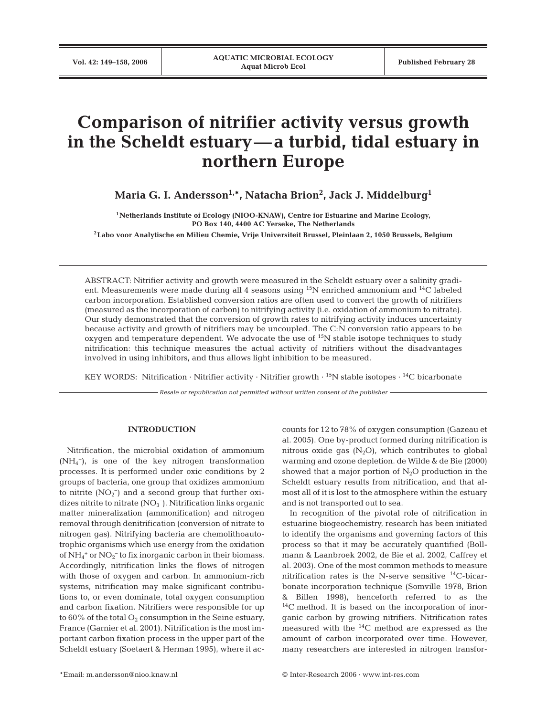# **Comparison of nitrifier activity versus growth in the Scheldt estuary—a turbid, tidal estuary in northern Europe**

**Maria G. I. Andersson1***,* **\*, Natacha Brion2 , Jack J. Middelburg1**

**1Netherlands Institute of Ecology (NIOO-KNAW), Centre for Estuarine and Marine Ecology, PO Box 140, 4400 AC Yerseke, The Netherlands**

**2Labo voor Analytische en Milieu Chemie, Vrije Universiteit Brussel, Pleinlaan 2, 1050 Brussels, Belgium**

ABSTRACT: Nitrifier activity and growth were measured in the Scheldt estuary over a salinity gradient. Measurements were made during all 4 seasons using  $^{15}N$  enriched ammonium and  $^{14}C$  labeled carbon incorporation. Established conversion ratios are often used to convert the growth of nitrifiers (measured as the incorporation of carbon) to nitrifying activity (i.e. oxidation of ammonium to nitrate). Our study demonstrated that the conversion of growth rates to nitrifying activity induces uncertainty because activity and growth of nitrifiers may be uncoupled. The C:N conversion ratio appears to be oxygen and temperature dependent. We advocate the use of <sup>15</sup>N stable isotope techniques to study nitrification: this technique measures the actual activity of nitrifiers without the disadvantages involved in using inhibitors, and thus allows light inhibition to be measured.

KEY WORDS: Nitrification · Nitrifier activity · Nitrifier growth  $\cdot$  <sup>15</sup>N stable isotopes  $\cdot$  <sup>14</sup>C bicarbonate

*Resale or republication not permitted without written consent of the publisher*

## **INTRODUCTION**

Nitrification, the microbial oxidation of ammonium (NH4 +), is one of the key nitrogen transformation processes. It is performed under oxic conditions by 2 groups of bacteria, one group that oxidizes ammonium to nitrite  $(NO<sub>2</sub><sup>-</sup>)$  and a second group that further oxidizes nitrite to nitrate  $(NO<sub>3</sub><sup>-</sup>)$ . Nitrification links organic matter mineralization (ammonification) and nitrogen removal through denitrification (conversion of nitrate to nitrogen gas). Nitrifying bacteria are chemolithoautotrophic organisms which use energy from the oxidation of  $\mathrm{NH}_4{}^+$  or  $\mathrm{NO_2}{}^-$  to fix inorganic carbon in their biomass. Accordingly, nitrification links the flows of nitrogen with those of oxygen and carbon. In ammonium-rich systems, nitrification may make significant contributions to, or even dominate, total oxygen consumption and carbon fixation. Nitrifiers were responsible for up to 60% of the total  $O_2$  consumption in the Seine estuary, France (Garnier et al. 2001). Nitrification is the most important carbon fixation process in the upper part of the Scheldt estuary (Soetaert & Herman 1995), where it accounts for 12 to 78% of oxygen consumption (Gazeau et al. 2005). One by-product formed during nitrification is nitrous oxide gas  $(N_2O)$ , which contributes to global warming and ozone depletion. de Wilde & de Bie (2000) showed that a major portion of  $N_2O$  production in the Scheldt estuary results from nitrification, and that almost all of it is lost to the atmosphere within the estuary and is not transported out to sea.

In recognition of the pivotal role of nitrification in estuarine biogeochemistry, research has been initiated to identify the organisms and governing factors of this process so that it may be accurately quantified (Bollmann & Laanbroek 2002, de Bie et al. 2002, Caffrey et al. 2003). One of the most common methods to measure nitrification rates is the N-serve sensitive 14C-bicarbonate incorporation technique (Somville 1978, Brion & Billen 1998), henceforth referred to as the 14C method. It is based on the incorporation of inorganic carbon by growing nitrifiers. Nitrification rates measured with the 14C method are expressed as the amount of carbon incorporated over time. However, many researchers are interested in nitrogen transfor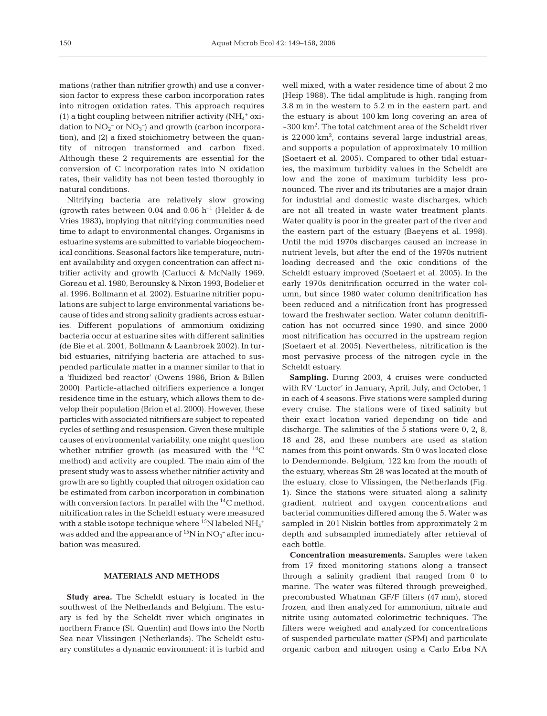mations (rather than nitrifier growth) and use a conversion factor to express these carbon incorporation rates into nitrogen oxidation rates. This approach requires (1) a tight coupling between nitrifier activity  $(NH_4$ <sup>+</sup> oxidation to  $NO<sub>2</sub><sup>-</sup>$  or  $NO<sub>3</sub><sup>-</sup>$ ) and growth (carbon incorporation), and (2) a fixed stoichiometry between the quantity of nitrogen transformed and carbon fixed. Although these 2 requirements are essential for the conversion of C incorporation rates into N oxidation rates, their validity has not been tested thoroughly in natural conditions.

Nitrifying bacteria are relatively slow growing (growth rates between 0.04 and 0.06  $h^{-1}$  (Helder & de Vries 1983), implying that nitrifying communities need time to adapt to environmental changes. Organisms in estuarine systems are submitted to variable biogeochemical conditions. Seasonal factors like temperature, nutrient availability and oxygen concentration can affect nitrifier activity and growth (Carlucci & McNally 1969, Goreau et al. 1980, Berounsky & Nixon 1993, Bodelier et al. 1996, Bollmann et al. 2002). Estuarine nitrifier populations are subject to large environmental variations because of tides and strong salinity gradients across estuaries. Different populations of ammonium oxidizing bacteria occur at estuarine sites with different salinities (de Bie et al. 2001, Bollmann & Laanbroek 2002). In turbid estuaries, nitrifying bacteria are attached to suspended particulate matter in a manner similar to that in a 'fluidized bed reactor' (Owens 1986, Brion & Billen 2000). Particle-attached nitrifiers experience a longer residence time in the estuary, which allows them to develop their population (Brion et al. 2000). However, these particles with associated nitrifiers are subject to repeated cycles of settling and resuspension. Given these multiple causes of environmental variability, one might question whether nitrifier growth (as measured with the  $^{14}C$ method) and activity are coupled. The main aim of the present study was to assess whether nitrifier activity and growth are so tightly coupled that nitrogen oxidation can be estimated from carbon incorporation in combination with conversion factors. In parallel with the  $^{14}$ C method, nitrification rates in the Scheldt estuary were measured with a stable isotope technique where  $^{15}{\rm N}$  labeled  $\rm NH_4{}^+$ was added and the appearance of  $^{15}N$  in  $NO_3^-$  after incubation was measured.

## **MATERIALS AND METHODS**

**Study area.** The Scheldt estuary is located in the southwest of the Netherlands and Belgium. The estuary is fed by the Scheldt river which originates in northern France (St. Quentin) and flows into the North Sea near Vlissingen (Netherlands). The Scheldt estuary constitutes a dynamic environment: it is turbid and

well mixed, with a water residence time of about 2 mo (Heip 1988). The tidal amplitude is high, ranging from 3.8 m in the western to 5.2 m in the eastern part, and the estuary is about 100 km long covering an area of ~300 km2 . The total catchment area of the Scheldt river is  $22000 \mathrm{km^2}$ , contains several large industrial areas, and supports a population of approximately 10 million (Soetaert et al. 2005). Compared to other tidal estuaries, the maximum turbidity values in the Scheldt are low and the zone of maximum turbidity less pronounced. The river and its tributaries are a major drain for industrial and domestic waste discharges, which are not all treated in waste water treatment plants. Water quality is poor in the greater part of the river and the eastern part of the estuary (Baeyens et al. 1998). Until the mid 1970s discharges caused an increase in nutrient levels, but after the end of the 1970s nutrient loading decreased and the oxic conditions of the Scheldt estuary improved (Soetaert et al. 2005). In the early 1970s denitrification occurred in the water column, but since 1980 water column denitrification has been reduced and a nitrification front has progressed toward the freshwater section. Water column denitrification has not occurred since 1990, and since 2000 most nitrification has occurred in the upstream region (Soetaert et al. 2005). Nevertheless, nitrification is the most pervasive process of the nitrogen cycle in the Scheldt estuary.

**Sampling.** During 2003, 4 cruises were conducted with RV 'Luctor' in January, April, July, and October, 1 in each of 4 seasons. Five stations were sampled during every cruise. The stations were of fixed salinity but their exact location varied depending on tide and discharge. The salinities of the 5 stations were 0, 2, 8, 18 and 28, and these numbers are used as station names from this point onwards. Stn 0 was located close to Dendermonde, Belgium, 122 km from the mouth of the estuary, whereas Stn 28 was located at the mouth of the estuary, close to Vlissingen, the Netherlands (Fig. 1). Since the stations were situated along a salinity gradient, nutrient and oxygen concentrations and bacterial communities differed among the 5. Water was sampled in 201 Niskin bottles from approximately 2 m depth and subsampled immediately after retrieval of each bottle.

**Concentration measurements.** Samples were taken from 17 fixed monitoring stations along a transect through a salinity gradient that ranged from 0 to marine. The water was filtered through preweighed, precombusted Whatman GF/F filters (47 mm), stored frozen, and then analyzed for ammonium, nitrate and nitrite using automated colorimetric techniques. The filters were weighed and analyzed for concentrations of suspended particulate matter (SPM) and particulate organic carbon and nitrogen using a Carlo Erba NA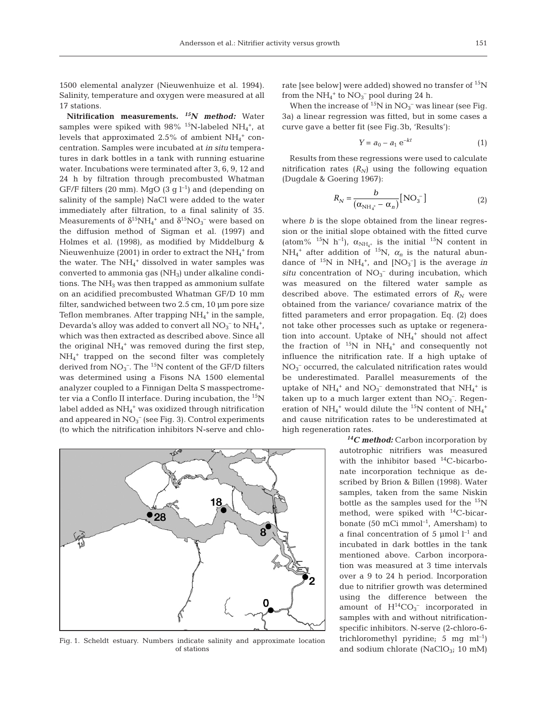1500 elemental analyzer (Nieuwenhuize et al. 1994). Salinity, temperature and oxygen were measured at all 17 stations.

**Nitrification measurements.** *15N method:* Water samples were spiked with  $98\%$  <sup>15</sup>N-labeled NH<sub>4</sub><sup>+</sup>, at levels that approximated 2.5% of ambient  $NH_4^+$  concentration. Samples were incubated at *in situ* temperatures in dark bottles in a tank with running estuarine water. Incubations were terminated after 3, 6, 9, 12 and 24 h by filtration through precombusted Whatman GF/F filters (20 mm). MgO (3 g  $l^{-1}$ ) and (depending on salinity of the sample) NaCl were added to the water immediately after filtration, to a final salinity of 35. Measurements of  $\delta^{15}\text{NH}_4{}^+$  and  $\delta^{15}\text{NO}_3{}^-$  were based on the diffusion method of Sigman et al. (1997) and Holmes et al. (1998), as modified by Middelburg & Nieuwenhuize (2001) in order to extract the  $\mathrm{NH}_4{}^+$  from the water. The  $NH_4^+$  dissolved in water samples was converted to ammonia gas  $(NH_3)$  under alkaline conditions. The  $NH<sub>3</sub>$  was then trapped as ammonium sulfate on an acidified precombusted Whatman GF/D 10 mm filter, sandwiched between two 2.5 cm, 10 µm pore size Teflon membranes. After trapping  $NH<sub>4</sub>$ <sup>+</sup> in the sample, Devarda's alloy was added to convert all  $\rm NO_3^-$  to  $\rm NH_4^+$ , which was then extracted as described above. Since all the original NH4 <sup>+</sup> was removed during the first step, NH4 <sup>+</sup> trapped on the second filter was completely derived from  $NO_3^-$ . The <sup>15</sup>N content of the GF/D filters was determined using a Fisons NA 1500 elemental analyzer coupled to a Finnigan Delta S masspectrometer via a Conflo II interface. During incubation, the <sup>15</sup>N label added as NH4 <sup>+</sup> was oxidized through nitrification and appeared in  $NO<sub>3</sub><sup>-</sup>$  (see Fig. 3). Control experiments (to which the nitrification inhibitors N-serve and chlo-



Fig. 1. Scheldt estuary. Numbers indicate salinity and approximate location of stations

rate [see below] were added) showed no transfer of  $^{15}N$ from the  $NH_4^+$  to  $NO_3^-$  pool during 24 h.

When the increase of  $^{15}N$  in  $NO_3^-$  was linear (see Fig. 3a) a linear regression was fitted, but in some cases a curve gave a better fit (see Fig.3b, 'Results'):

$$
Y = a_0 - a_1 e^{-kt} \tag{1}
$$

Results from these regressions were used to calculate nitrification rates  $(R_N)$  using the following equation (Dugdale & Goering 1967):

$$
R_N = \frac{b}{\left(\alpha_{\text{NH}_4^+} - \alpha_n\right)} \text{[NO}_3^- \text{]}
$$
 (2)

where *b* is the slope obtained from the linear regression or the initial slope obtained with the fitted curve (atom% <sup>15</sup>N h<sup>-1</sup>),  $\alpha_{NH_4^+}$  is the initial <sup>15</sup>N content in  $NH_4^+$  after addition of <sup>15</sup>N,  $\alpha_n$  is the natural abundance of  ${}^{15}N$  in  $NH_4^+$ , and  $[NO_3^-]$  is the average *in*  $situ$  concentration of  $NO<sub>3</sub><sup>-</sup>$  during incubation, which was measured on the filtered water sample as described above. The estimated errors of  $R_N$  were obtained from the variance/ covariance matrix of the fitted parameters and error propagation. Eq. (2) does not take other processes such as uptake or regeneration into account. Uptake of NH<sub>4</sub><sup>+</sup> should not affect the fraction of  $^{15}N$  in  $NH_4$ <sup>+</sup> and consequently not influence the nitrification rate. If a high uptake of NO3 – occurred, the calculated nitrification rates would be underestimated. Parallel measurements of the uptake of  $NH_4^+$  and  $NO_3^-$  demonstrated that  $NH_4^+$  is taken up to a much larger extent than  $NO<sub>3</sub>^-$ . Regeneration of  $NH_4^+$  would dilute the <sup>15</sup>N content of  $NH_4^+$ and cause nitrification rates to be underestimated at high regeneration rates.

> *14C method:* Carbon incorporation by autotrophic nitrifiers was measured with the inhibitor based  $^{14}$ C-bicarbonate incorporation technique as described by Brion & Billen (1998). Water samples, taken from the same Niskin bottle as the samples used for the  $^{15}N$ method, were spiked with  $^{14}$ C-bicarbonate (50 mCi mmol<sup>-1</sup>, Amersham) to a final concentration of 5  $\mu$ mol l<sup>-1</sup> and incubated in dark bottles in the tank mentioned above. Carbon incorporation was measured at 3 time intervals over a 9 to 24 h period. Incorporation due to nitrifier growth was determined using the difference between the amount of  $H^{14}CO_3^-$  incorporated in samples with and without nitrificationspecific inhibitors. N-serve (2-chloro-6 trichloromethyl pyridine; 5 mg  $ml^{-1}$ ) and sodium chlorate (NaCl $O_{3}$ ; 10 mM)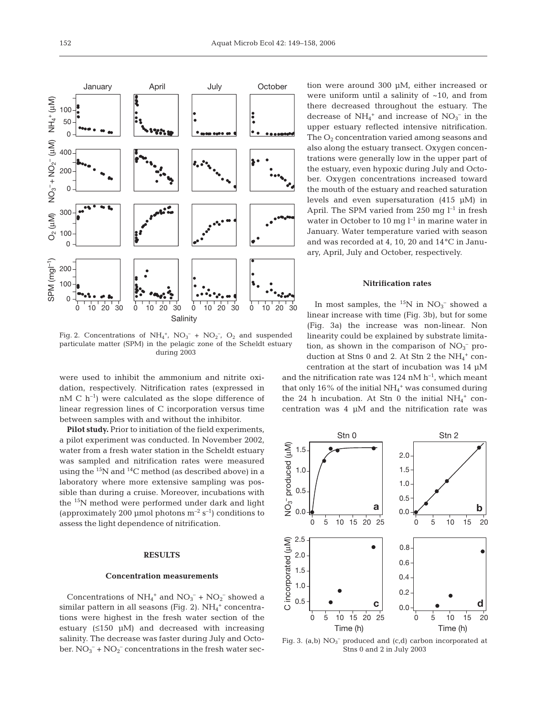

Fig. 2. Concentrations of  $NH_4^+$ ,  $NO_3^- + NO_2^-$ ,  $O_2$  and suspended particulate matter (SPM) in the pelagic zone of the Scheldt estuary during 2003

were used to inhibit the ammonium and nitrite oxidation, respectively. Nitrification rates (expressed in  $nM C h^{-1}$ ) were calculated as the slope difference of linear regression lines of C incorporation versus time between samples with and without the inhibitor.

**Pilot study.** Prior to initiation of the field experiments, a pilot experiment was conducted. In November 2002, water from a fresh water station in the Scheldt estuary was sampled and nitrification rates were measured using the  $^{15}N$  and  $^{14}C$  method (as described above) in a laboratory where more extensive sampling was possible than during a cruise. Moreover, incubations with the 15N method were performed under dark and light (approximately 200 µmol photons  $m^{-2}$  s<sup>-1</sup>) conditions to assess the light dependence of nitrification.

## **RESULTS**

## **Concentration measurements**

Concentrations of  $NH_4^+$  and  $NO_3^-$  +  $NO_2^-$  showed a similar pattern in all seasons (Fig. 2).  $NH_4^+$  concentrations were highest in the fresh water section of the estuary  $(≤150 \mu M)$  and decreased with increasing salinity. The decrease was faster during July and October.  $NO_3^-$  +  $NO_2^-$  concentrations in the fresh water section were around 300 µM, either increased or were uniform until a salinity of  $~10$ , and from there decreased throughout the estuary. The decrease of  $NH_4^+$  and increase of  $NO_3^-$  in the upper estuary reflected intensive nitrification. The  $O<sub>2</sub>$  concentration varied among seasons and also along the estuary transect. Oxygen concentrations were generally low in the upper part of the estuary, even hypoxic during July and October. Oxygen concentrations increased toward the mouth of the estuary and reached saturation levels and even supersaturation (415 µM) in April. The SPM varied from 250 mg  $l^{-1}$  in fresh water in October to 10 mg  $l^{-1}$  in marine water in January. Water temperature varied with season and was recorded at 4, 10, 20 and 14**°**C in January, April, July and October, respectively.

# **Nitrification rates**

In most samples, the  $^{15}N$  in  $NO_3^-$  showed a linear increase with time (Fig. 3b), but for some (Fig. 3a) the increase was non-linear. Non linearity could be explained by substrate limitation, as shown in the comparison of  $NO<sub>3</sub><sup>-</sup>$  production at Stns 0 and 2. At Stn 2 the  $\mathrm{NH_4}^+$  concentration at the start of incubation was 14 µM

and the nitrification rate was 124 nM  $h^{-1}$ , which meant that only 16% of the initial  $NH_4$ <sup>+</sup> was consumed during the 24 h incubation. At Stn 0 the initial  $NH_4^+$  concentration was 4 µM and the nitrification rate was



Fig. 3. (a,b)  $NO<sub>3</sub><sup>-</sup>$  produced and (c,d) carbon incorporated at Stns 0 and 2 in July 2003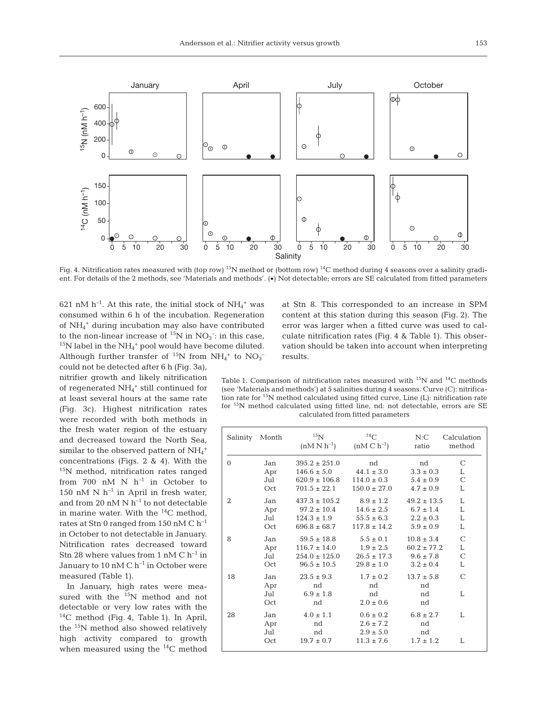

Fig. 4. Nitrification rates measured with (top row) <sup>15</sup>N method or (bottom row) <sup>14</sup>C method during 4 seasons over a salinity gradient. For details of the 2 methods, see 'Materials and methods'. (•) Not detectable; errors are SE calculated from fitted parameters

621 nM  $h^{-1}$ . At this rate, the initial stock of  $NH_4^+$  was consumed within 6 h of the incubation. Regeneration of NH4 <sup>+</sup> during incubation may also have contributed to the non-linear increase of  ${}^{15}N$  in  $NO_3^-$ ; in this case,  $^{15}$ N label in the NH<sub>4</sub><sup>+</sup> pool would have become diluted. Although further transfer of <sup>15</sup>N from  $NH_4^+$  to  $NO_3^-$ 

could not be detected after 6 h (Fig. 3a), nitrifier growth and likely nitrification of regenerated  $NH_4$ <sup>+</sup> still continued for at least several hours at the same rate (Fig. 3c). Highest nitrification rates were recorded with both methods in the fresh water region of the estuary and decreased toward the North Sea, similar to the observed pattern of  $\mathrm{NH}_4^+$ concentrations (Figs. 2 & 4). With the 15N method, nitrification rates ranged from 700 nM N  $h^{-1}$  in October to 150 nM N  $h^{-1}$  in April in fresh water, and from 20 nM N  $h^{-1}$  to not detectable in marine water. With the  $^{14}$ C method, rates at Stn 0 ranged from 150 nM C h–1 in October to not detectable in January. Nitrification rates decreased toward Stn 28 where values from 1 nM C  $h^{-1}$  in January to 10 nM C  $h^{-1}$  in October were measured (Table 1).

In January, high rates were measured with the <sup>15</sup>N method and not detectable or very low rates with the  $^{14}$ C method (Fig. 4, Table 1). In April, the 15N method also showed relatively high activity compared to growth when measured using the  $^{14}C$  method

at Stn 8. This corresponded to an increase in SPM content at this station during this season (Fig. 2). The error was larger when a fitted curve was used to calculate nitrification rates (Fig. 4 & Table 1). This observation should be taken into account when interpreting results.

Table 1. Comparison of nitrification rates measured with  $^{15}N$  and  $^{14}C$  methods (see 'Materials and methods') at 5 salinities during 4 seasons. Curve (C): nitrification rate for 15N method calculated using fitted curve, Line (L): nitrification rate for 15N method calculated using fitted line, nd: not detectable, errors are SE calculated from fitted parameters

| Salinity Month |                          | 15 <sub>N</sub><br>$(nM N h^{-1})$          | $^{14}$ C<br>$(nM C h^{-1})$                                      | N:C<br>ratio                               | Calculation<br>method |
|----------------|--------------------------|---------------------------------------------|-------------------------------------------------------------------|--------------------------------------------|-----------------------|
| $\Omega$       | Jan                      | $395.2 \pm 251.0$                           | nd                                                                | nd                                         | $\mathcal{C}$         |
|                | Apr                      | $146.6 \pm 5.0$                             | $44.1 \pm 3.0$                                                    | $3.3 \pm 0.3$                              | L                     |
|                | Jul                      | $620.9 \pm 106.8$                           | $114.0 \pm 0.3$                                                   | $5.4 \pm 0.9$                              | C                     |
|                | Oct                      | $701.5 \pm 22.1$                            | $150.0 \pm 27.0$                                                  | $4.7 \pm 0.9$                              | L                     |
| $\overline{2}$ | Jan                      | $437.3 \pm 105.2$                           | $8.9 \pm 1.2$                                                     | $49.2 \pm 13.5$                            | L                     |
|                | Apr                      | $97.2 \pm 10.4$                             | $14.6 \pm 2.5$                                                    | $6.7 \pm 1.4$                              | L                     |
|                | Jul                      | $124.3 \pm 1.9$                             | $55.5 \pm 6.3$                                                    | $2.2 \pm 0.3$                              | L                     |
|                | Oct                      | $696.8 \pm 68.7$                            | $117.8 \pm 14.2$                                                  | $5.9 \pm 0.9$                              | L                     |
| 8              | Jan                      | $59.5 \pm 18.8$                             | $5.5 \pm 0.1$                                                     | $10.8 \pm 3.4$                             | $\mathcal{C}$         |
|                | Apr                      | $116.7 \pm 14.0$                            | $1.9 \pm 2.5$                                                     | $60.2 \pm 77.2$                            | L                     |
|                | Jul                      | $254.0 \pm 125.0$                           | $26.5 \pm 17.3$                                                   | $9.6 \pm 7.8$                              | C                     |
|                | Oct                      | $96.5 \pm 10.5$                             | $29.8 \pm 1.0$                                                    | $3.2 \pm 0.4$                              | L                     |
| 18             | Jan<br>Apr<br>Jul<br>Oct | $23.5 \pm 9.3$<br>nd<br>$6.9 \pm 1.8$<br>nd | $1.7 \pm 0.2$<br>nd<br>nd<br>$2.0 \pm 0.6$                        | $13.7 \pm 5.8$<br>nd<br>nd<br>nd           | $\mathcal{C}$<br>L    |
| 28             | Jan<br>Apr<br>Jul<br>Oct | $4.0 \pm 1.1$<br>nd<br>nd<br>$19.7 \pm 0.7$ | $0.6 \pm 0.2$<br>$2.6 \pm 7.2$<br>$2.9 \pm 5.0$<br>$11.3 \pm 7.6$ | $6.8 \pm 2.7$<br>nd<br>nd<br>$1.7 \pm 1.2$ | I.<br>L               |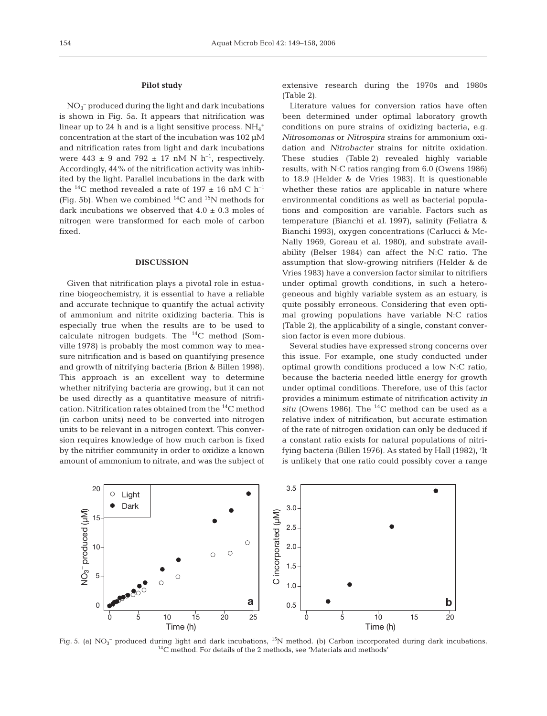## **Pilot study**

NO3 – produced during the light and dark incubations is shown in Fig. 5a. It appears that nitrification was linear up to 24 h and is a light sensitive process.  $\mathrm{NH}_4^+$ concentration at the start of the incubation was 102 µM and nitrification rates from light and dark incubations were  $443 \pm 9$  and  $792 \pm 17$  nM N h<sup>-1</sup>, respectively. Accordingly, 44% of the nitrification activity was inhibited by the light. Parallel incubations in the dark with the <sup>14</sup>C method revealed a rate of 197  $\pm$  16 nM C h<sup>-1</sup> (Fig. 5b). When we combined  ${}^{14}C$  and  ${}^{15}N$  methods for dark incubations we observed that  $4.0 \pm 0.3$  moles of nitrogen were transformed for each mole of carbon fixed.

## **DISCUSSION**

Given that nitrification plays a pivotal role in estuarine biogeochemistry, it is essential to have a reliable and accurate technique to quantify the actual activity of ammonium and nitrite oxidizing bacteria. This is especially true when the results are to be used to calculate nitrogen budgets. The 14C method (Somville 1978) is probably the most common way to measure nitrification and is based on quantifying presence and growth of nitrifying bacteria (Brion & Billen 1998). This approach is an excellent way to determine whether nitrifying bacteria are growing, but it can not be used directly as a quantitative measure of nitrification. Nitrification rates obtained from the 14C method (in carbon units) need to be converted into nitrogen units to be relevant in a nitrogen context. This conversion requires knowledge of how much carbon is fixed by the nitrifier community in order to oxidize a known amount of ammonium to nitrate, and was the subject of extensive research during the 1970s and 1980s (Table 2).

Literature values for conversion ratios have often been determined under optimal laboratory growth conditions on pure strains of oxidizing bacteria, e.g. *Nitrosomonas* or *Nitrospira* strains for ammonium oxidation and *Nitrobacter* strains for nitrite oxidation. These studies (Table 2) revealed highly variable results, with N:C ratios ranging from 6.0 (Owens 1986) to 18.9 (Helder & de Vries 1983). It is questionable whether these ratios are applicable in nature where environmental conditions as well as bacterial populations and composition are variable. Factors such as temperature (Bianchi et al. 1997), salinity (Feliatra & Bianchi 1993), oxygen concentrations (Carlucci & Mc-Nally 1969, Goreau et al. 1980), and substrate availability (Belser 1984) can affect the N:C ratio. The assumption that slow-growing nitrifiers (Helder & de Vries 1983) have a conversion factor similar to nitrifiers under optimal growth conditions, in such a heterogeneous and highly variable system as an estuary, is quite possibly erroneous. Considering that even optimal growing populations have variable N:C ratios (Table 2), the applicability of a single, constant conversion factor is even more dubious.

Several studies have expressed strong concerns over this issue. For example, one study conducted under optimal growth conditions produced a low N:C ratio, because the bacteria needed little energy for growth under optimal conditions. Therefore, use of this factor provides a minimum estimate of nitrification activity *in situ* (Owens 1986). The  $^{14}$ C method can be used as a relative index of nitrification, but accurate estimation of the rate of nitrogen oxidation can only be deduced if a constant ratio exists for natural populations of nitrifying bacteria (Billen 1976). As stated by Hall (1982), 'It is unlikely that one ratio could possibly cover a range



Fig. 5. (a)  $NO_3^-$  produced during light and dark incubations,  $^{15}N$  method. (b) Carbon incorporated during dark incubations,  $^{14}C$  method. For details of the 2 methods, see 'Materials and methods'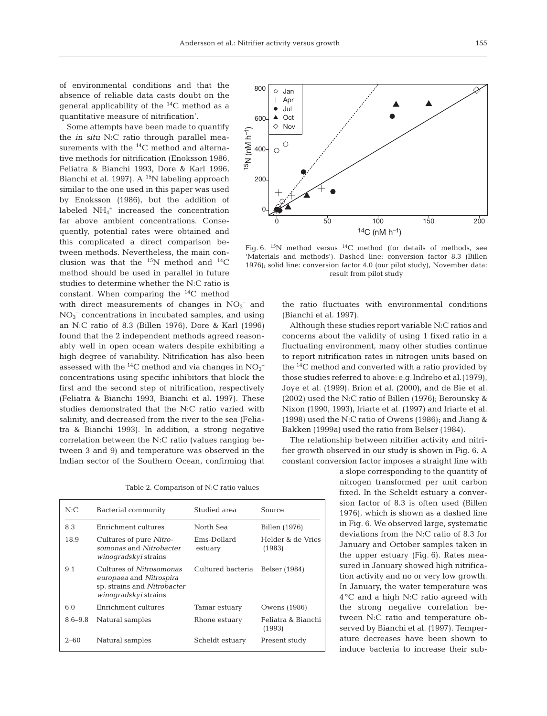of environmental conditions and that the absence of reliable data casts doubt on the general applicability of the  $^{14}$ C method as a quantitative measure of nitrification'.

Some attempts have been made to quantify the *in situ* N:C ratio through parallel measurements with the <sup>14</sup>C method and alternative methods for nitrification (Enoksson 1986, Feliatra & Bianchi 1993, Dore & Karl 1996, Bianchi et al. 1997). A <sup>15</sup>N labeling approach similar to the one used in this paper was used by Enoksson (1986), but the addition of labeled  $NH_4^+$  increased the concentration far above ambient concentrations. Consequently, potential rates were obtained and this complicated a direct comparison between methods. Nevertheless, the main conclusion was that the  $^{15}N$  method and  $^{14}C$ method should be used in parallel in future studies to determine whether the N:C ratio is constant. When comparing the  $^{14}C$  method

with direct measurements of changes in  $NO<sub>2</sub><sup>-</sup>$  and NO3 – concentrations in incubated samples, and using an N:C ratio of 8.3 (Billen 1976), Dore & Karl (1996) found that the 2 independent methods agreed reasonably well in open ocean waters despite exhibiting a high degree of variability. Nitrification has also been assessed with the <sup>14</sup>C method and via changes in  $NO<sub>2</sub>$ <sup>-</sup> concentrations using specific inhibitors that block the first and the second step of nitrification, respectively (Feliatra & Bianchi 1993, Bianchi et al. 1997). These studies demonstrated that the N:C ratio varied with salinity, and decreased from the river to the sea (Feliatra & Bianchi 1993). In addition, a strong negative correlation between the N:C ratio (values ranging between 3 and 9) and temperature was observed in the Indian sector of the Southern Ocean, confirming that

Table 2. Comparison of N:C ratio values

| N:C         | Bacterial community                                                                                        | Studied area           | Source                       |
|-------------|------------------------------------------------------------------------------------------------------------|------------------------|------------------------------|
| 8.3         | Enrichment cultures                                                                                        | North Sea              | Billen (1976)                |
| 18.9        | Cultures of pure Nitro-<br>somonas and Nitrobacter<br><i>winoqradskyi</i> strains                          | Ems-Dollard<br>estuary | Helder & de Vries<br>(1983)  |
| 9.1         | Cultures of Nitrosomonas<br>europaea and Nitrospira<br>sp. strains and Nitrobacter<br>winogradskyi strains | Cultured bacteria      | Belser (1984)                |
| 6.0         | Enrichment cultures                                                                                        | Tamar estuary          | Owens (1986)                 |
| $8.6 - 9.8$ | Natural samples                                                                                            | Rhone estuary          | Feliatra & Bianchi<br>(1993) |
| $2 - 60$    | Natural samples                                                                                            | Scheldt estuary        | Present study                |



Fig. 6.  $^{15}N$  method versus  $^{14}C$  method (for details of methods, see 'Materials and methods'). Dashed line: conversion factor 8.3 (Billen 1976); solid line: conversion factor 4.0 (our pilot study), November data: result from pilot study

the ratio fluctuates with environmental conditions (Bianchi et al. 1997).

Although these studies report variable N:C ratios and concerns about the validity of using 1 fixed ratio in a fluctuating environment, many other studies continue to report nitrification rates in nitrogen units based on the  $^{14}$ C method and converted with a ratio provided by those studies referred to above: e.g.Indrebo et al.(1979), Joye et al. (1999), Brion et al. (2000), and de Bie et al. (2002) used the N:C ratio of Billen (1976); Berounsky & Nixon (1990, 1993), Iriarte et al. (1997) and Iriarte et al. (1998) used the N:C ratio of Owens (1986); and Jiang & Bakken (1999a) used the ratio from Belser (1984).

The relationship between nitrifier activity and nitrifier growth observed in our study is shown in Fig. 6. A constant conversion factor imposes a straight line with

> a slope corresponding to the quantity of nitrogen transformed per unit carbon fixed. In the Scheldt estuary a conversion factor of 8.3 is often used (Billen 1976), which is shown as a dashed line in Fig. 6. We observed large, systematic deviations from the N:C ratio of 8.3 for January and October samples taken in the upper estuary (Fig. 6). Rates measured in January showed high nitrification activity and no or very low growth. In January, the water temperature was 4°C and a high N:C ratio agreed with the strong negative correlation between N:C ratio and temperature observed by Bianchi et al. (1997). Temperature decreases have been shown to induce bacteria to increase their sub-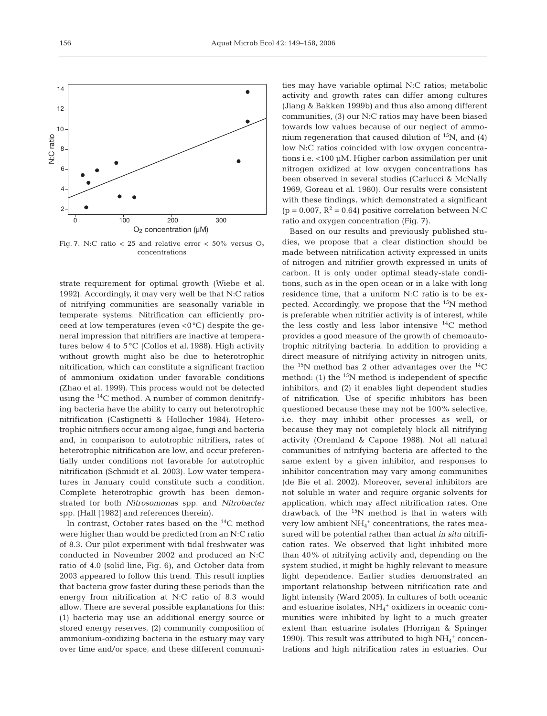

Fig. 7. N:C ratio  $< 25$  and relative error  $< 50\%$  versus O<sub>2</sub> concentrations

strate requirement for optimal growth (Wiebe et al. 1992). Accordingly, it may very well be that N:C ratios of nitrifying communities are seasonally variable in temperate systems. Nitrification can efficiently proceed at low temperatures (even  $\langle 0^{\circ}C \rangle$  despite the general impression that nitrifiers are inactive at temperatures below 4 to 5 °C (Collos et al. 1988). High activity without growth might also be due to heterotrophic nitrification, which can constitute a significant fraction of ammonium oxidation under favorable conditions (Zhao et al. 1999). This process would not be detected using the 14C method. A number of common denitrifying bacteria have the ability to carry out heterotrophic nitrification (Castignetti & Hollocher 1984). Heterotrophic nitrifiers occur among algae, fungi and bacteria and, in comparison to autotrophic nitrifiers, rates of heterotrophic nitrification are low, and occur preferentially under conditions not favorable for autotrophic nitrification (Schmidt et al. 2003). Low water temperatures in January could constitute such a condition. Complete heterotrophic growth has been demonstrated for both *Nitrosomonas* spp. and *Nitrobacter* spp. (Hall [1982] and references therein).

In contrast, October rates based on the 14C method were higher than would be predicted from an N:C ratio of 8.3. Our pilot experiment with tidal freshwater was conducted in November 2002 and produced an N:C ratio of 4.0 (solid line, Fig. 6), and October data from 2003 appeared to follow this trend. This result implies that bacteria grow faster during these periods than the energy from nitrification at N:C ratio of 8.3 would allow. There are several possible explanations for this: (1) bacteria may use an additional energy source or stored energy reserves, (2) community composition of ammonium-oxidizing bacteria in the estuary may vary over time and/or space, and these different communi-

ties may have variable optimal N:C ratios; metabolic activity and growth rates can differ among cultures (Jiang & Bakken 1999b) and thus also among different communities, (3) our N:C ratios may have been biased towards low values because of our neglect of ammonium regeneration that caused dilution of  ${}^{15}N$ , and (4) low N:C ratios coincided with low oxygen concentrations i.e. <100 µM. Higher carbon assimilation per unit nitrogen oxidized at low oxygen concentrations has been observed in several studies (Carlucci & McNally 1969, Goreau et al. 1980). Our results were consistent with these findings, which demonstrated a significant  $(p = 0.007, R^2 = 0.64)$  positive correlation between N:C ratio and oxygen concentration (Fig. 7).

Based on our results and previously published studies, we propose that a clear distinction should be made between nitrification activity expressed in units of nitrogen and nitrifier growth expressed in units of carbon. It is only under optimal steady-state conditions, such as in the open ocean or in a lake with long residence time, that a uniform N:C ratio is to be expected. Accordingly, we propose that the  $^{15}N$  method is preferable when nitrifier activity is of interest, while the less costly and less labor intensive  $^{14}$ C method provides a good measure of the growth of chemoautotrophic nitrifying bacteria. In addition to providing a direct measure of nitrifying activity in nitrogen units, the  $^{15}$ N method has 2 other advantages over the  $^{14}$ C method: (1) the  $15N$  method is independent of specific inhibitors, and (2) it enables light dependent studies of nitrification. Use of specific inhibitors has been questioned because these may not be 100% selective, i.e. they may inhibit other processes as well, or because they may not completely block all nitrifying activity (Oremland & Capone 1988). Not all natural communities of nitrifying bacteria are affected to the same extent by a given inhibitor, and responses to inhibitor concentration may vary among communities (de Bie et al. 2002). Moreover, several inhibitors are not soluble in water and require organic solvents for application, which may affect nitrification rates. One drawback of the  $15N$  method is that in waters with very low ambient  $\mathrm{NH_4}^+$  concentrations, the rates measured will be potential rather than actual *in situ* nitrification rates. We observed that light inhibited more than 40% of nitrifying activity and, depending on the system studied, it might be highly relevant to measure light dependence. Earlier studies demonstrated an important relationship between nitrification rate and light intensity (Ward 2005). In cultures of both oceanic and estuarine isolates,  $NH<sub>4</sub><sup>+</sup>$  oxidizers in oceanic communities were inhibited by light to a much greater extent than estuarine isolates (Horrigan & Springer 1990). This result was attributed to high  $\mathrm{NH_4^+}$  concentrations and high nitrification rates in estuaries. Our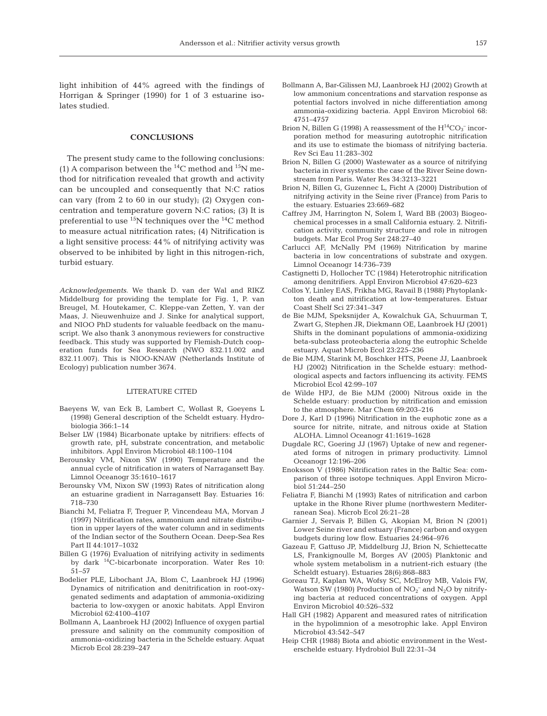light inhibition of 44% agreed with the findings of Horrigan & Springer (1990) for 1 of 3 estuarine isolates studied.

# **CONCLUSIONS**

The present study came to the following conclusions: (1) A comparison between the  $^{14}$ C method and  $^{15}$ N method for nitrification revealed that growth and activity can be uncoupled and consequently that N:C ratios can vary (from 2 to 60 in our study); (2) Oxygen concentration and temperature govern N:C ratios; (3) It is preferential to use  $^{15}N$  techniques over the  $^{14}C$  method to measure actual nitrification rates; (4) Nitrification is a light sensitive process: 44% of nitrifying activity was observed to be inhibited by light in this nitrogen-rich, turbid estuary.

*Acknowledgements.* We thank D. van der Wal and RIKZ Middelburg for providing the template for Fig. 1, P. van Breugel, M. Houtekamer, C. Kleppe-van Zetten, Y. van der Maas, J. Nieuwenhuize and J. Sinke for analytical support, and NIOO PhD students for valuable feedback on the manuscript. We also thank 3 anonymous reviewers for constructive feedback. This study was supported by Flemish-Dutch cooperation funds for Sea Research (NWO 832.11.002 and 832.11.007). This is NIOO-KNAW (Netherlands Institute of Ecology) publication number 3674.

# LITERATURE CITED

- Baeyens W, van Eck B, Lambert C, Wollast R, Goeyens L (1998) General description of the Scheldt estuary. Hydrobiologia 366:1–14
- Belser LW (1984) Bicarbonate uptake by nitrifiers: effects of growth rate, pH, substrate concentration, and metabolic inhibitors. Appl Environ Microbiol 48:1100–1104
- Berounsky VM, Nixon SW (1990) Temperature and the annual cycle of nitrification in waters of Narragansett Bay. Limnol Oceanogr 35:1610–1617
- Berounsky VM, Nixon SW (1993) Rates of nitrification along an estuarine gradient in Narragansett Bay. Estuaries 16: 718–730
- Bianchi M, Feliatra F, Treguer P, Vincendeau MA, Morvan J (1997) Nitrification rates, ammonium and nitrate distribution in upper layers of the water column and in sediments of the Indian sector of the Southern Ocean. Deep-Sea Res Part II 44:1017–1032
- Billen G (1976) Evaluation of nitrifying activity in sediments by dark 14C-bicarbonate incorporation. Water Res 10: 51–57
- Bodelier PLE, Libochant JA, Blom C, Laanbroek HJ (1996) Dynamics of nitrification and denitrification in root-oxygenated sediments and adaptation of ammonia-oxidizing bacteria to low-oxygen or anoxic habitats. Appl Environ Microbiol 62:4100–4107
- Bollmann A, Laanbroek HJ (2002) Influence of oxygen partial pressure and salinity on the community composition of ammonia-oxidizing bacteria in the Schelde estuary. Aquat Microb Ecol 28:239–247
- Bollmann A, Bar-Gilissen MJ, Laanbroek HJ (2002) Growth at low ammonium concentrations and starvation response as potential factors involved in niche differentiation among ammonia-oxidizing bacteria. Appl Environ Microbiol 68: 4751–4757
- Brion N, Billen G (1998) A reassessment of the  $H^{14}CO_3^-$  incorporation method for measuring autotrophic nitrification and its use to estimate the biomass of nitrifying bacteria. Rev Sci Eau 11:283–302
- Brion N, Billen G (2000) Wastewater as a source of nitrifying bacteria in river systems: the case of the River Seine downstream from Paris. Water Res 34:3213–3221
- Brion N, Billen G, Guzennec L, Ficht A (2000) Distribution of nitrifying activity in the Seine river (France) from Paris to the estuary. Estuaries 23:669–682
- Caffrey JM, Harrington N, Solem I, Ward BB (2003) Biogeochemical processes in a small California estuary. 2. Nitrification activity, community structure and role in nitrogen budgets. Mar Ecol Prog Ser 248:27–40
- Carlucci AF, McNally PM (1969) Nitrification by marine bacteria in low concentrations of substrate and oxygen. Limnol Oceanogr 14:736–739
- Castignetti D, Hollocher TC (1984) Heterotrophic nitrification among denitrifiers. Appl Environ Microbiol 47:620–623
- Collos Y, Linley EAS, Frikha MG, Ravail B (1988) Phytoplankton death and nitrification at low-temperatures. Estuar Coast Shelf Sci 27:341–347
- de Bie MJM, Speksnijder A, Kowalchuk GA, Schuurman T, Zwart G, Stephen JR, Diekmann OE, Laanbroek HJ (2001) Shifts in the dominant populations of ammonia-oxidizing beta-subclass proteobacteria along the eutrophic Schelde estuary. Aquat Microb Ecol 23:225–236
- de Bie MJM, Starink M, Boschker HTS, Peene JJ, Laanbroek HJ (2002) Nitrification in the Schelde estuary: methodological aspects and factors influencing its activity. FEMS Microbiol Ecol 42:99–107
- de Wilde HPJ, de Bie MJM (2000) Nitrous oxide in the Schelde estuary: production by nitrification and emission to the atmosphere. Mar Chem 69:203–216
- Dore J, Karl D (1996) Nitrification in the euphotic zone as a source for nitrite, nitrate, and nitrous oxide at Station ALOHA. Limnol Oceanogr 41:1619–1628
- Dugdale RC, Goering JJ (1967) Uptake of new and regenerated forms of nitrogen in primary productivity. Limnol Oceanogr 12:196–206
- Enoksson V (1986) Nitrification rates in the Baltic Sea: comparison of three isotope techniques. Appl Environ Microbiol 51:244–250
- Feliatra F, Bianchi M (1993) Rates of nitrification and carbon uptake in the Rhone River plume (northwestern Mediterranean Sea). Microb Ecol 26:21–28
- Garnier J, Servais P, Billen G, Akopian M, Brion N (2001) Lower Seine river and estuary (France) carbon and oxygen budgets during low flow. Estuaries 24:964–976
- Gazeau F, Gattuso JP, Middelburg JJ, Brion N, Schiettecatte LS, Frankignoulle M, Borges AV (2005) Planktonic and whole system metabolism in a nutrient-rich estuary (the Scheldt estuary). Estuaries 28(6):868–883
- Goreau TJ, Kaplan WA, Wofsy SC, McElroy MB, Valois FW, Watson SW (1980) Production of  $NO_2^-$  and  $N_2O$  by nitrifying bacteria at reduced concentrations of oxygen. Appl Environ Microbiol 40:526–532
- Hall GH (1982) Apparent and measured rates of nitrification in the hypolimnion of a mesotrophic lake. Appl Environ Microbiol 43:542–547
- Heip CHR (1988) Biota and abiotic environment in the Westerschelde estuary. Hydrobiol Bull 22:31–34